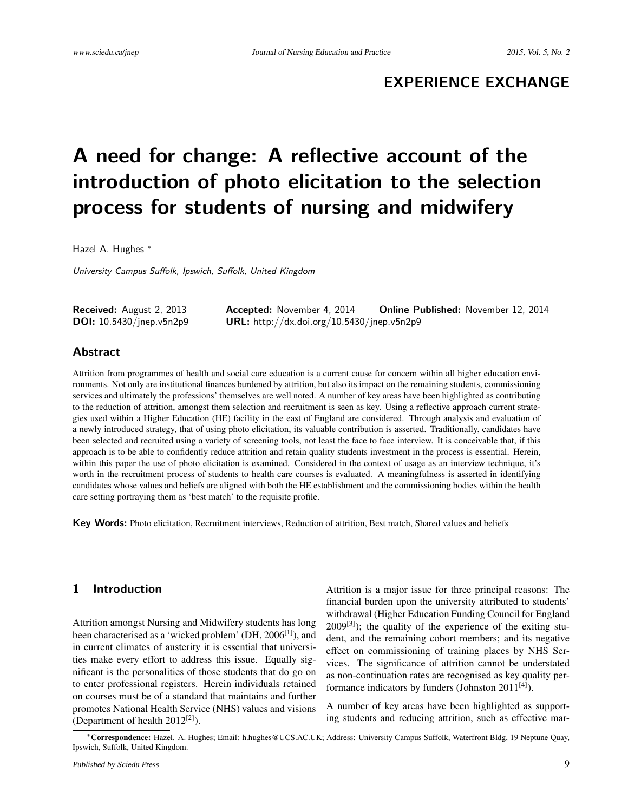## **EXPERIENCE EXCHANGE**

# **A need for change: A reflective account of the introduction of photo elicitation to the selection process for students of nursing and midwifery**

Hazel A. Hughes <sup>∗</sup>

University Campus Suffolk, Ipswich, Suffolk, United Kingdom

| Received: August 2, 2013           | <b>Accepted:</b> November 4, 2014                 | <b>Online Published:</b> November 12, 2014 |
|------------------------------------|---------------------------------------------------|--------------------------------------------|
| <b>DOI:</b> $10.5430/j$ nep.v5n2p9 | <b>URL:</b> http://dx.doi.org/10.5430/jnep.v5n2p9 |                                            |

## **Abstract**

Attrition from programmes of health and social care education is a current cause for concern within all higher education environments. Not only are institutional finances burdened by attrition, but also its impact on the remaining students, commissioning services and ultimately the professions' themselves are well noted. A number of key areas have been highlighted as contributing to the reduction of attrition, amongst them selection and recruitment is seen as key. Using a reflective approach current strategies used within a Higher Education (HE) facility in the east of England are considered. Through analysis and evaluation of a newly introduced strategy, that of using photo elicitation, its valuable contribution is asserted. Traditionally, candidates have been selected and recruited using a variety of screening tools, not least the face to face interview. It is conceivable that, if this approach is to be able to confidently reduce attrition and retain quality students investment in the process is essential. Herein, within this paper the use of photo elicitation is examined. Considered in the context of usage as an interview technique, it's worth in the recruitment process of students to health care courses is evaluated. A meaningfulness is asserted in identifying candidates whose values and beliefs are aligned with both the HE establishment and the commissioning bodies within the health care setting portraying them as 'best match' to the requisite profile.

**Key Words:** Photo elicitation, Recruitment interviews, Reduction of attrition, Best match, Shared values and beliefs

## **1 Introduction**

Attrition amongst Nursing and Midwifery students has long been characterised as a 'wicked problem' (DH, 2006<sup>[\[1\]](#page-6-0)</sup>), and in current climates of austerity it is essential that universities make every effort to address this issue. Equally significant is the personalities of those students that do go on to enter professional registers. Herein individuals retained on courses must be of a standard that maintains and further promotes National Health Service (NHS) values and visions (Department of health 2012<sup>[\[2\]](#page-6-1)</sup>).

Attrition is a major issue for three principal reasons: The financial burden upon the university attributed to students' withdrawal (Higher Education Funding Council for England  $2009^{[3]}$  $2009^{[3]}$  $2009^{[3]}$ ); the quality of the experience of the exiting student, and the remaining cohort members; and its negative effect on commissioning of training places by NHS Services. The significance of attrition cannot be understated as non-continuation rates are recognised as key quality performance indicators by funders (Johnston  $2011^{[4]}$  $2011^{[4]}$  $2011^{[4]}$ ).

A number of key areas have been highlighted as supporting students and reducing attrition, such as effective mar-

<sup>∗</sup>Correspondence: Hazel. A. Hughes; Email: h.hughes@UCS.AC.UK; Address: University Campus Suffolk, Waterfront Bldg, 19 Neptune Quay, Ipswich, Suffolk, United Kingdom.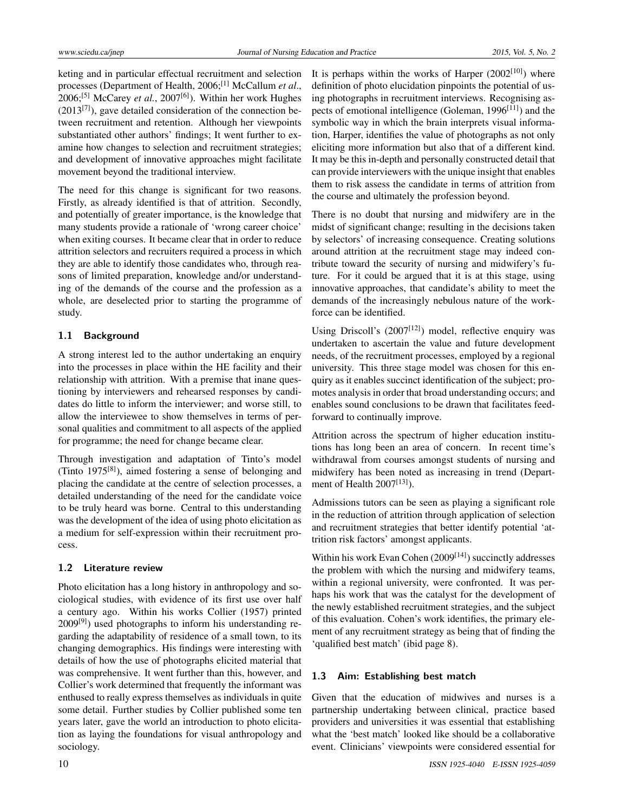keting and in particular effectual recruitment and selection processes (Department of Health, 2006;[\[1\]](#page-6-0) McCallum *et al*., 2006;<sup>[\[5\]](#page-6-4)</sup> McCarey *et al.*, 2007<sup>[\[6\]](#page-6-5)</sup>). Within her work Hughes  $(2013^{[7]})$  $(2013^{[7]})$  $(2013^{[7]})$ , gave detailed consideration of the connection between recruitment and retention. Although her viewpoints substantiated other authors' findings; It went further to examine how changes to selection and recruitment strategies; and development of innovative approaches might facilitate movement beyond the traditional interview.

The need for this change is significant for two reasons. Firstly, as already identified is that of attrition. Secondly, and potentially of greater importance, is the knowledge that many students provide a rationale of 'wrong career choice' when exiting courses. It became clear that in order to reduce attrition selectors and recruiters required a process in which they are able to identify those candidates who, through reasons of limited preparation, knowledge and/or understanding of the demands of the course and the profession as a whole, are deselected prior to starting the programme of study.

## **1.1 Background**

A strong interest led to the author undertaking an enquiry into the processes in place within the HE facility and their relationship with attrition. With a premise that inane questioning by interviewers and rehearsed responses by candidates do little to inform the interviewer; and worse still, to allow the interviewee to show themselves in terms of personal qualities and commitment to all aspects of the applied for programme; the need for change became clear.

Through investigation and adaptation of Tinto's model (Tinto 1975[\[8\]](#page-6-7) ), aimed fostering a sense of belonging and placing the candidate at the centre of selection processes, a detailed understanding of the need for the candidate voice to be truly heard was borne. Central to this understanding was the development of the idea of using photo elicitation as a medium for self-expression within their recruitment process.

#### **1.2 Literature review**

Photo elicitation has a long history in anthropology and sociological studies, with evidence of its first use over half a century ago. Within his works Collier (1957) printed 2009<sup>[\[9\]](#page-6-8)</sup>) used photographs to inform his understanding regarding the adaptability of residence of a small town, to its changing demographics. His findings were interesting with details of how the use of photographs elicited material that was comprehensive. It went further than this, however, and Collier's work determined that frequently the informant was enthused to really express themselves as individuals in quite some detail. Further studies by Collier published some ten years later, gave the world an introduction to photo elicitation as laying the foundations for visual anthropology and sociology.

It is perhaps within the works of Harper  $(2002^{[10]})$  $(2002^{[10]})$  $(2002^{[10]})$  where definition of photo elucidation pinpoints the potential of using photographs in recruitment interviews. Recognising as-pects of emotional intelligence (Goleman, 1996<sup>[\[11\]](#page-6-10)</sup>) and the symbolic way in which the brain interprets visual information, Harper, identifies the value of photographs as not only eliciting more information but also that of a different kind. It may be this in-depth and personally constructed detail that can provide interviewers with the unique insight that enables them to risk assess the candidate in terms of attrition from the course and ultimately the profession beyond.

There is no doubt that nursing and midwifery are in the midst of significant change; resulting in the decisions taken by selectors' of increasing consequence. Creating solutions around attrition at the recruitment stage may indeed contribute toward the security of nursing and midwifery's future. For it could be argued that it is at this stage, using innovative approaches, that candidate's ability to meet the demands of the increasingly nebulous nature of the workforce can be identified.

Using Driscoll's  $(2007^{[12]})$  $(2007^{[12]})$  $(2007^{[12]})$  model, reflective enquiry was undertaken to ascertain the value and future development needs, of the recruitment processes, employed by a regional university. This three stage model was chosen for this enquiry as it enables succinct identification of the subject; promotes analysis in order that broad understanding occurs; and enables sound conclusions to be drawn that facilitates feedforward to continually improve.

Attrition across the spectrum of higher education institutions has long been an area of concern. In recent time's withdrawal from courses amongst students of nursing and midwifery has been noted as increasing in trend (Depart-ment of Health 2007<sup>[\[13\]](#page-6-12)</sup>).

Admissions tutors can be seen as playing a significant role in the reduction of attrition through application of selection and recruitment strategies that better identify potential 'attrition risk factors' amongst applicants.

Within his work Evan Cohen  $(2009<sup>[14]</sup>)$  $(2009<sup>[14]</sup>)$  $(2009<sup>[14]</sup>)$  succinctly addresses the problem with which the nursing and midwifery teams, within a regional university, were confronted. It was perhaps his work that was the catalyst for the development of the newly established recruitment strategies, and the subject of this evaluation. Cohen's work identifies, the primary element of any recruitment strategy as being that of finding the 'qualified best match' (ibid page 8).

## **1.3 Aim: Establishing best match**

Given that the education of midwives and nurses is a partnership undertaking between clinical, practice based providers and universities it was essential that establishing what the 'best match' looked like should be a collaborative event. Clinicians' viewpoints were considered essential for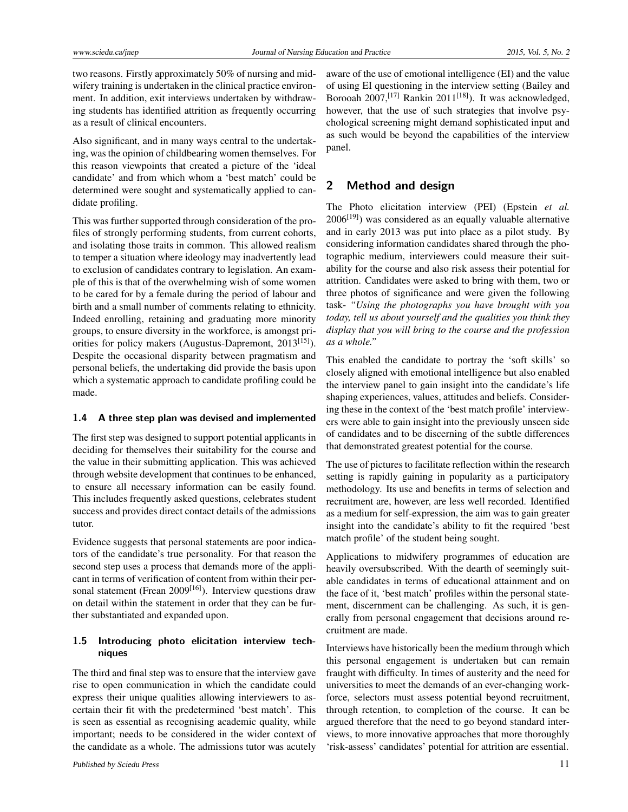two reasons. Firstly approximately 50% of nursing and midwifery training is undertaken in the clinical practice environment. In addition, exit interviews undertaken by withdrawing students has identified attrition as frequently occurring as a result of clinical encounters.

Also significant, and in many ways central to the undertaking, was the opinion of childbearing women themselves. For this reason viewpoints that created a picture of the 'ideal candidate' and from which whom a 'best match' could be determined were sought and systematically applied to candidate profiling.

This was further supported through consideration of the profiles of strongly performing students, from current cohorts, and isolating those traits in common. This allowed realism to temper a situation where ideology may inadvertently lead to exclusion of candidates contrary to legislation. An example of this is that of the overwhelming wish of some women to be cared for by a female during the period of labour and birth and a small number of comments relating to ethnicity. Indeed enrolling, retaining and graduating more minority groups, to ensure diversity in the workforce, is amongst pri-orities for policy makers (Augustus-Dapremont, 2013<sup>[\[15\]](#page-6-14)</sup>). Despite the occasional disparity between pragmatism and personal beliefs, the undertaking did provide the basis upon which a systematic approach to candidate profiling could be made.

#### **1.4 A three step plan was devised and implemented**

The first step was designed to support potential applicants in deciding for themselves their suitability for the course and the value in their submitting application. This was achieved through website development that continues to be enhanced, to ensure all necessary information can be easily found. This includes frequently asked questions, celebrates student success and provides direct contact details of the admissions tutor.

Evidence suggests that personal statements are poor indicators of the candidate's true personality. For that reason the second step uses a process that demands more of the applicant in terms of verification of content from within their per-sonal statement (Frean 2009<sup>[\[16\]](#page-6-15)</sup>). Interview questions draw on detail within the statement in order that they can be further substantiated and expanded upon.

## **1.5 Introducing photo elicitation interview techniques**

The third and final step was to ensure that the interview gave rise to open communication in which the candidate could express their unique qualities allowing interviewers to ascertain their fit with the predetermined 'best match'. This is seen as essential as recognising academic quality, while important; needs to be considered in the wider context of the candidate as a whole. The admissions tutor was acutely aware of the use of emotional intelligence (EI) and the value of using EI questioning in the interview setting (Bailey and Borooah 2007,<sup>[\[17\]](#page-6-16)</sup> Rankin 2011<sup>[\[18\]](#page-6-17)</sup>). It was acknowledged, however, that the use of such strategies that involve psychological screening might demand sophisticated input and as such would be beyond the capabilities of the interview panel.

## **2 Method and design**

The Photo elicitation interview (PEI) (Epstein *et al.*  $2006^{[19]}$  $2006^{[19]}$  $2006^{[19]}$ ) was considered as an equally valuable alternative and in early 2013 was put into place as a pilot study. By considering information candidates shared through the photographic medium, interviewers could measure their suitability for the course and also risk assess their potential for attrition. Candidates were asked to bring with them, two or three photos of significance and were given the following task- *"Using the photographs you have brought with you today, tell us about yourself and the qualities you think they display that you will bring to the course and the profession as a whole."*

This enabled the candidate to portray the 'soft skills' so closely aligned with emotional intelligence but also enabled the interview panel to gain insight into the candidate's life shaping experiences, values, attitudes and beliefs. Considering these in the context of the 'best match profile' interviewers were able to gain insight into the previously unseen side of candidates and to be discerning of the subtle differences that demonstrated greatest potential for the course.

The use of pictures to facilitate reflection within the research setting is rapidly gaining in popularity as a participatory methodology. Its use and benefits in terms of selection and recruitment are, however, are less well recorded. Identified as a medium for self-expression, the aim was to gain greater insight into the candidate's ability to fit the required 'best match profile' of the student being sought.

Applications to midwifery programmes of education are heavily oversubscribed. With the dearth of seemingly suitable candidates in terms of educational attainment and on the face of it, 'best match' profiles within the personal statement, discernment can be challenging. As such, it is generally from personal engagement that decisions around recruitment are made.

Interviews have historically been the medium through which this personal engagement is undertaken but can remain fraught with difficulty. In times of austerity and the need for universities to meet the demands of an ever-changing workforce, selectors must assess potential beyond recruitment, through retention, to completion of the course. It can be argued therefore that the need to go beyond standard interviews, to more innovative approaches that more thoroughly 'risk-assess' candidates' potential for attrition are essential.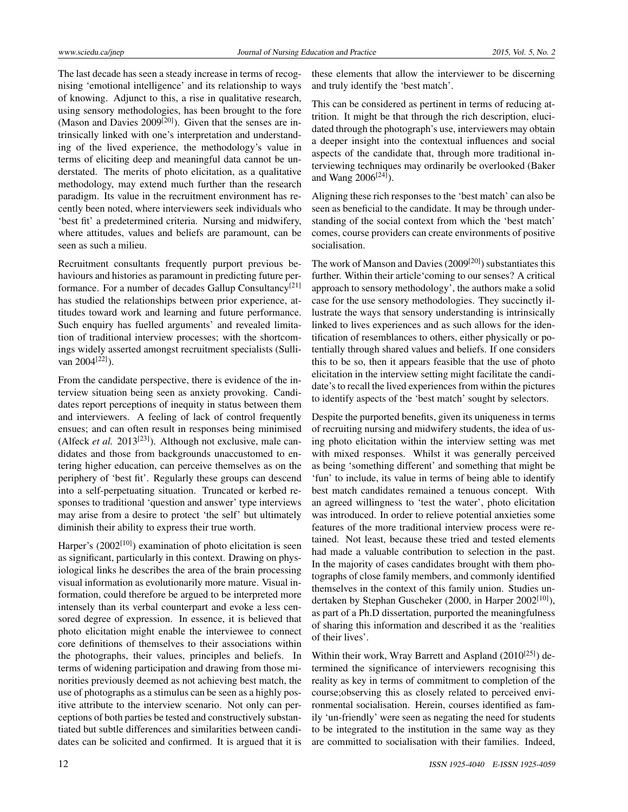The last decade has seen a steady increase in terms of recognising 'emotional intelligence' and its relationship to ways of knowing. Adjunct to this, a rise in qualitative research, using sensory methodologies, has been brought to the fore (Mason and Davies  $2009^{[20]}$  $2009^{[20]}$  $2009^{[20]}$ ). Given that the senses are intrinsically linked with one's interpretation and understanding of the lived experience, the methodology's value in terms of eliciting deep and meaningful data cannot be understated. The merits of photo elicitation, as a qualitative methodology, may extend much further than the research paradigm. Its value in the recruitment environment has recently been noted, where interviewers seek individuals who 'best fit' a predetermined criteria. Nursing and midwifery, where attitudes, values and beliefs are paramount, can be seen as such a milieu.

Recruitment consultants frequently purport previous behaviours and histories as paramount in predicting future per-formance. For a number of decades Gallup Consultancy<sup>[\[21\]](#page-6-20)</sup> has studied the relationships between prior experience, attitudes toward work and learning and future performance. Such enquiry has fuelled arguments' and revealed limitation of traditional interview processes; with the shortcomings widely asserted amongst recruitment specialists (Sulli-van 2004<sup>[\[22\]](#page-6-21)</sup>).

From the candidate perspective, there is evidence of the interview situation being seen as anxiety provoking. Candidates report perceptions of inequity in status between them and interviewers. A feeling of lack of control frequently ensues; and can often result in responses being minimised (Alfeck *et al.* 2013<sup>[\[23\]](#page-6-22)</sup>). Although not exclusive, male candidates and those from backgrounds unaccustomed to entering higher education, can perceive themselves as on the periphery of 'best fit'. Regularly these groups can descend into a self-perpetuating situation. Truncated or kerbed responses to traditional 'question and answer' type interviews may arise from a desire to protect 'the self' but ultimately diminish their ability to express their true worth.

Harper's (2002<sup>[\[10\]](#page-6-9)</sup>) examination of photo elicitation is seen as significant, particularly in this context. Drawing on physiological links he describes the area of the brain processing visual information as evolutionarily more mature. Visual information, could therefore be argued to be interpreted more intensely than its verbal counterpart and evoke a less censored degree of expression. In essence, it is believed that photo elicitation might enable the interviewee to connect core definitions of themselves to their associations within the photographs, their values, principles and beliefs. In terms of widening participation and drawing from those minorities previously deemed as not achieving best match, the use of photographs as a stimulus can be seen as a highly positive attribute to the interview scenario. Not only can perceptions of both parties be tested and constructively substantiated but subtle differences and similarities between candidates can be solicited and confirmed. It is argued that it is these elements that allow the interviewer to be discerning and truly identify the 'best match'.

This can be considered as pertinent in terms of reducing attrition. It might be that through the rich description, elucidated through the photograph's use, interviewers may obtain a deeper insight into the contextual influences and social aspects of the candidate that, through more traditional interviewing techniques may ordinarily be overlooked (Baker and Wang 2006<sup>[\[24\]](#page-7-0)</sup>).

Aligning these rich responses to the 'best match' can also be seen as beneficial to the candidate. It may be through understanding of the social context from which the 'best match' comes, course providers can create environments of positive socialisation.

The work of Manson and Davies  $(2009^{[20]})$  $(2009^{[20]})$  $(2009^{[20]})$  substantiates this further. Within their article'coming to our senses? A critical approach to sensory methodology', the authors make a solid case for the use sensory methodologies. They succinctly illustrate the ways that sensory understanding is intrinsically linked to lives experiences and as such allows for the identification of resemblances to others, either physically or potentially through shared values and beliefs. If one considers this to be so, then it appears feasible that the use of photo elicitation in the interview setting might facilitate the candidate's to recall the lived experiences from within the pictures to identify aspects of the 'best match' sought by selectors.

Despite the purported benefits, given its uniqueness in terms of recruiting nursing and midwifery students, the idea of using photo elicitation within the interview setting was met with mixed responses. Whilst it was generally perceived as being 'something different' and something that might be 'fun' to include, its value in terms of being able to identify best match candidates remained a tenuous concept. With an agreed willingness to 'test the water', photo elicitation was introduced. In order to relieve potential anxieties some features of the more traditional interview process were retained. Not least, because these tried and tested elements had made a valuable contribution to selection in the past. In the majority of cases candidates brought with them photographs of close family members, and commonly identified themselves in the context of this family union. Studies un-dertaken by Stephan Guscheker (2000, in Harper 2002<sup>[\[10\]](#page-6-9)</sup>), as part of a Ph.D dissertation, purported the meaningfulness of sharing this information and described it as the 'realities of their lives'.

Within their work, Wray Barrett and Aspland (2010<sup>[\[25\]](#page-7-1)</sup>) determined the significance of interviewers recognising this reality as key in terms of commitment to completion of the course;observing this as closely related to perceived environmental socialisation. Herein, courses identified as family 'un-friendly' were seen as negating the need for students to be integrated to the institution in the same way as they are committed to socialisation with their families. Indeed,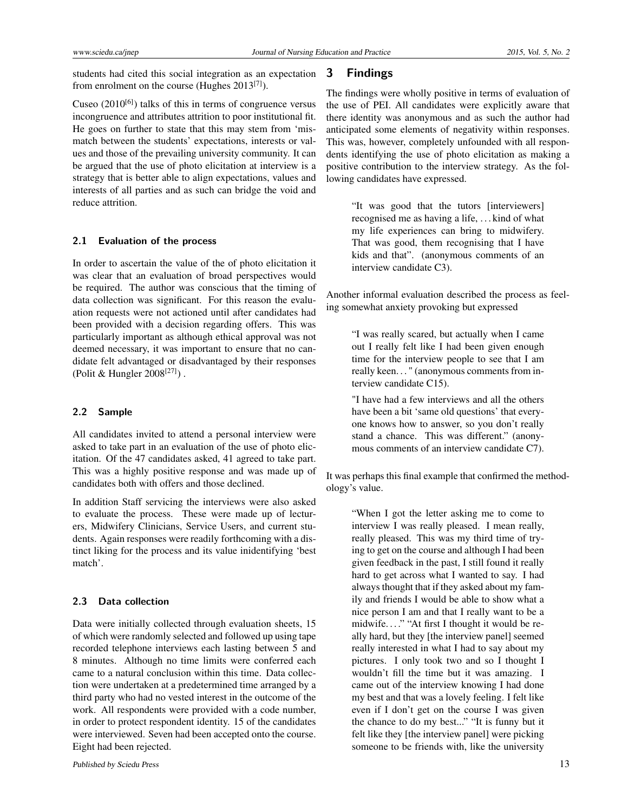students had cited this social integration as an expectation from enrolment on the course (Hughes 2013<sup>[\[7\]](#page-6-6)</sup>).

Cuseo  $(2010^{[6]})$  $(2010^{[6]})$  $(2010^{[6]})$  talks of this in terms of congruence versus incongruence and attributes attrition to poor institutional fit. He goes on further to state that this may stem from 'mismatch between the students' expectations, interests or values and those of the prevailing university community. It can be argued that the use of photo elicitation at interview is a strategy that is better able to align expectations, values and interests of all parties and as such can bridge the void and reduce attrition.

#### **2.1 Evaluation of the process**

In order to ascertain the value of the of photo elicitation it was clear that an evaluation of broad perspectives would be required. The author was conscious that the timing of data collection was significant. For this reason the evaluation requests were not actioned until after candidates had been provided with a decision regarding offers. This was particularly important as although ethical approval was not deemed necessary, it was important to ensure that no candidate felt advantaged or disadvantaged by their responses (Polit & Hungler 2008[\[27\]](#page-7-2) ) .

### **2.2 Sample**

All candidates invited to attend a personal interview were asked to take part in an evaluation of the use of photo elicitation. Of the 47 candidates asked, 41 agreed to take part. This was a highly positive response and was made up of candidates both with offers and those declined.

In addition Staff servicing the interviews were also asked to evaluate the process. These were made up of lecturers, Midwifery Clinicians, Service Users, and current students. Again responses were readily forthcoming with a distinct liking for the process and its value inidentifying 'best match'.

### **2.3 Data collection**

Data were initially collected through evaluation sheets, 15 of which were randomly selected and followed up using tape recorded telephone interviews each lasting between 5 and 8 minutes. Although no time limits were conferred each came to a natural conclusion within this time. Data collection were undertaken at a predetermined time arranged by a third party who had no vested interest in the outcome of the work. All respondents were provided with a code number, in order to protect respondent identity. 15 of the candidates were interviewed. Seven had been accepted onto the course. Eight had been rejected.

## **3 Findings**

The findings were wholly positive in terms of evaluation of the use of PEI. All candidates were explicitly aware that there identity was anonymous and as such the author had anticipated some elements of negativity within responses. This was, however, completely unfounded with all respondents identifying the use of photo elicitation as making a positive contribution to the interview strategy. As the following candidates have expressed.

> "It was good that the tutors [interviewers] recognised me as having a life, . . . kind of what my life experiences can bring to midwifery. That was good, them recognising that I have kids and that". (anonymous comments of an interview candidate C3).

Another informal evaluation described the process as feeling somewhat anxiety provoking but expressed

> "I was really scared, but actually when I came out I really felt like I had been given enough time for the interview people to see that I am really keen. . . " (anonymous comments from interview candidate C15).

> "I have had a few interviews and all the others have been a bit 'same old questions' that everyone knows how to answer, so you don't really stand a chance. This was different." (anonymous comments of an interview candidate C7).

It was perhaps this final example that confirmed the methodology's value.

> "When I got the letter asking me to come to interview I was really pleased. I mean really, really pleased. This was my third time of trying to get on the course and although I had been given feedback in the past, I still found it really hard to get across what I wanted to say. I had always thought that if they asked about my family and friends I would be able to show what a nice person I am and that I really want to be a midwife. . . ." "At first I thought it would be really hard, but they [the interview panel] seemed really interested in what I had to say about my pictures. I only took two and so I thought I wouldn't fill the time but it was amazing. I came out of the interview knowing I had done my best and that was a lovely feeling. I felt like even if I don't get on the course I was given the chance to do my best..." "It is funny but it felt like they [the interview panel] were picking someone to be friends with, like the university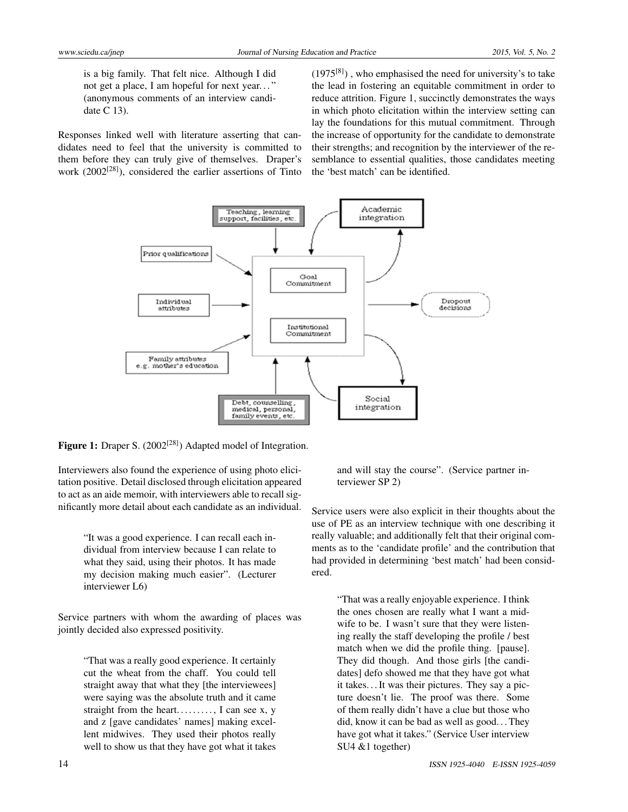is a big family. That felt nice. Although I did not get a place, I am hopeful for next year. . . " (anonymous comments of an interview candidate C 13).

Responses linked well with literature asserting that candidates need to feel that the university is committed to them before they can truly give of themselves. Draper's work (2002<sup>[\[28\]](#page-7-3)</sup>), considered the earlier assertions of Tinto

 $(1975^{[8]})$  $(1975^{[8]})$  $(1975^{[8]})$ , who emphasised the need for university's to take the lead in fostering an equitable commitment in order to reduce attrition. Figure 1, succinctly demonstrates the ways in which photo elicitation within the interview setting can lay the foundations for this mutual commitment. Through the increase of opportunity for the candidate to demonstrate their strengths; and recognition by the interviewer of the resemblance to essential qualities, those candidates meeting the 'best match' can be identified.



Figure 1: Draper S. (2002<sup>[\[28\]](#page-7-3)</sup>) Adapted model of Integration.

Interviewers also found the experience of using photo elicitation positive. Detail disclosed through elicitation appeared to act as an aide memoir, with interviewers able to recall significantly more detail about each candidate as an individual.

> "It was a good experience. I can recall each individual from interview because I can relate to what they said, using their photos. It has made my decision making much easier". (Lecturer interviewer L6)

Service partners with whom the awarding of places was jointly decided also expressed positivity.

> "That was a really good experience. It certainly cut the wheat from the chaff. You could tell straight away that what they [the interviewees] were saying was the absolute truth and it came straight from the heart. . . . . . . . . . I can see x,  $y$ and z [gave candidates' names] making excellent midwives. They used their photos really well to show us that they have got what it takes

and will stay the course". (Service partner interviewer SP 2)

Service users were also explicit in their thoughts about the use of PE as an interview technique with one describing it really valuable; and additionally felt that their original comments as to the 'candidate profile' and the contribution that had provided in determining 'best match' had been considered.

"That was a really enjoyable experience. I think the ones chosen are really what I want a midwife to be. I wasn't sure that they were listening really the staff developing the profile / best match when we did the profile thing. [pause]. They did though. And those girls [the candidates] defo showed me that they have got what it takes. . . It was their pictures. They say a picture doesn't lie. The proof was there. Some of them really didn't have a clue but those who did, know it can be bad as well as good. . . They have got what it takes." (Service User interview SU4 &1 together)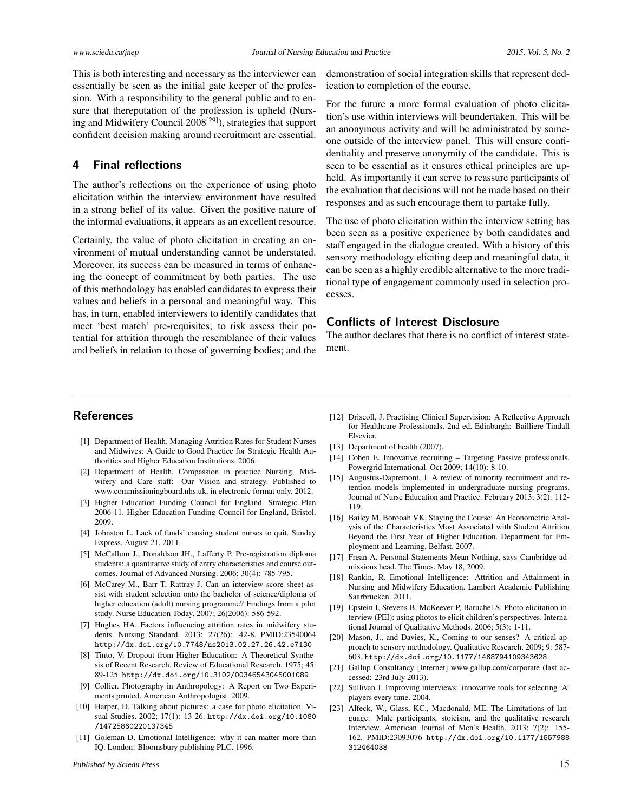This is both interesting and necessary as the interviewer can essentially be seen as the initial gate keeper of the profession. With a responsibility to the general public and to ensure that thereputation of the profession is upheld (Nurs-ing and Midwifery Council 2008<sup>[\[29\]](#page-7-4)</sup>), strategies that support confident decision making around recruitment are essential.

## **4 Final reflections**

The author's reflections on the experience of using photo elicitation within the interview environment have resulted in a strong belief of its value. Given the positive nature of the informal evaluations, it appears as an excellent resource.

Certainly, the value of photo elicitation in creating an environment of mutual understanding cannot be understated. Moreover, its success can be measured in terms of enhancing the concept of commitment by both parties. The use of this methodology has enabled candidates to express their values and beliefs in a personal and meaningful way. This has, in turn, enabled interviewers to identify candidates that meet 'best match' pre-requisites; to risk assess their potential for attrition through the resemblance of their values and beliefs in relation to those of governing bodies; and the demonstration of social integration skills that represent dedication to completion of the course.

For the future a more formal evaluation of photo elicitation's use within interviews will beundertaken. This will be an anonymous activity and will be administrated by someone outside of the interview panel. This will ensure confidentiality and preserve anonymity of the candidate. This is seen to be essential as it ensures ethical principles are upheld. As importantly it can serve to reassure participants of the evaluation that decisions will not be made based on their responses and as such encourage them to partake fully.

The use of photo elicitation within the interview setting has been seen as a positive experience by both candidates and staff engaged in the dialogue created. With a history of this sensory methodology eliciting deep and meaningful data, it can be seen as a highly credible alternative to the more traditional type of engagement commonly used in selection processes.

## **Conflicts of Interest Disclosure**

The author declares that there is no conflict of interest statement.

## **References**

- <span id="page-6-0"></span>[1] Department of Health. Managing Attrition Rates for Student Nurses and Midwives: A Guide to Good Practice for Strategic Health Authorities and Higher Education Institutions. 2006.
- <span id="page-6-1"></span>[2] Department of Health. Compassion in practice Nursing, Midwifery and Care staff: Our Vision and strategy. Published to www.commissioningboard.nhs.uk, in electronic format only. 2012.
- <span id="page-6-2"></span>[3] Higher Education Funding Council for England. Strategic Plan 2006-11. Higher Education Funding Council for England, Bristol. 2009.
- <span id="page-6-3"></span>[4] Johnston L. Lack of funds' causing student nurses to quit. Sunday Express. August 21, 2011.
- <span id="page-6-4"></span>[5] McCallum J., Donaldson JH., Lafferty P. Pre-registration diploma students: a quantitative study of entry characteristics and course outcomes. Journal of Advanced Nursing. 2006; 30(4): 785-795.
- <span id="page-6-5"></span>[6] McCarey M., Barr T, Rattray J. Can an interview score sheet assist with student selection onto the bachelor of science/diploma of higher education (adult) nursing programme? Findings from a pilot study. Nurse Education Today. 2007; 26(2006): 586-592.
- <span id="page-6-6"></span>[7] Hughes HA. Factors influencing attrition rates in midwifery students. Nursing Standard. 2013; 27(26): 42-8. PMID[:23540064](http://www.ncbi.nlm.nih.gov/pubmed/23540064) <http://dx.doi.org/10.7748/ns2013.02.27.26.42.e7130>
- <span id="page-6-7"></span>[8] Tinto, V. Dropout from Higher Education: A Theoretical Synthesis of Recent Research. Review of Educational Research. 1975; 45: 89-125. <http://dx.doi.org/10.3102/00346543045001089>
- <span id="page-6-8"></span>[9] Collier. Photography in Anthropology: A Report on Two Experiments printed. American Anthropologist. 2009.
- <span id="page-6-9"></span>[10] Harper, D. Talking about pictures: a case for photo elicitation. Visual Studies. 2002; 17(1): 13-26. [http://dx.doi.org/10.1080](http://dx.doi.org/10.1080/14725860220137345) [/14725860220137345](http://dx.doi.org/10.1080/14725860220137345)
- <span id="page-6-10"></span>[11] Goleman D. Emotional Intelligence: why it can matter more than IQ. London: Bloomsbury publishing PLC. 1996.
- <span id="page-6-11"></span>[12] Driscoll, J. Practising Clinical Supervision: A Reflective Approach for Healthcare Professionals. 2nd ed. Edinburgh: Bailliere Tindall Elsevier.
- <span id="page-6-12"></span>[13] Department of health (2007).
- <span id="page-6-13"></span>[14] Cohen E. Innovative recruiting – Targeting Passive professionals. Powergrid International. Oct 2009; 14(10): 8-10.
- <span id="page-6-14"></span>[15] Augustus-Dapremont, J. A review of minority recruitment and retention models implemented in undergraduate nursing programs. Journal of Nurse Education and Practice. February 2013; 3(2): 112- 119.
- <span id="page-6-15"></span>[16] Bailey M, Borooah VK. Staying the Course: An Econometric Analysis of the Characteristics Most Associated with Student Attrition Beyond the First Year of Higher Education. Department for Employment and Learning, Belfast. 2007.
- <span id="page-6-16"></span>[17] Frean A. Personal Statements Mean Nothing, says Cambridge admissions head. The Times. May 18, 2009.
- <span id="page-6-17"></span>[18] Rankin, R. Emotional Intelligence: Attrition and Attainment in Nursing and Midwifery Education. Lambert Academic Publishing Saarbrucken. 2011.
- <span id="page-6-18"></span>[19] Epstein I, Stevens B, McKeever P, Baruchel S. Photo elicitation interview (PEI): using photos to elicit children's perspectives. International Journal of Qualitative Methods. 2006; 5(3): 1-11.
- <span id="page-6-19"></span>[20] Mason, J., and Davies, K., Coming to our senses? A critical approach to sensory methodology. Qualitative Research. 2009; 9: 587- 603. <http://dx.doi.org/10.1177/1468794109343628>
- <span id="page-6-20"></span>[21] Gallup Consultancy [Internet] www.gallup.com/corporate (last accessed: 23rd July 2013).
- <span id="page-6-21"></span>[22] Sullivan J. Improving interviews: innovative tools for selecting 'A' players every time. 2004.
- <span id="page-6-22"></span>[23] Alfeck, W., Glass, KC., Macdonald, ME. The Limitations of language: Male participants, stoicism, and the qualitative research Interview. American Journal of Men's Health. 2013; 7(2): 155- 162. PMID[:23093076](http://www.ncbi.nlm.nih.gov/pubmed/23093076) [http://dx.doi.org/10.1177/1557988](http://dx.doi.org/10.1177/1557988312464038) [312464038](http://dx.doi.org/10.1177/1557988312464038)